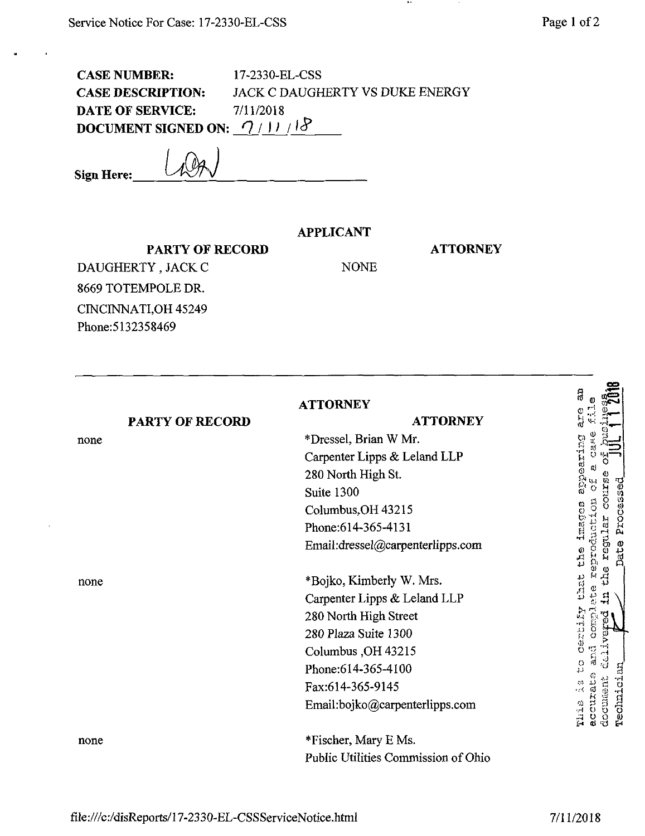CASE NUMBER: 17-2330-EL-CSS CASE DESCRIPTION: JACK C DAUGHERTY VS DUKE ENERGY **DATE OF SERVICE:** 7/11/2018 **DOCUMENT SIGNED ON:**  $\frac{7}{11}$  / $\frac{8}{5}$ 

**Sign Here:.**

## **APPLICANT**

NONE

**ATTORNEY**

**PARTY OF RECORD** DAUGHERTY, JACK C 8669 TOTEMPOLE DR. CINCINNATLOH 45249 Phone:5132358469

**an**<br>**1 <b>0** 2018 **ATTORNEY PARTY OF RECORD ATTORNEY** \*Dressel, Brian W Mr. none **I** Carpenter Lipps & Leland LLP 280 North High St. *9\** Suite 1300 the images Columbus^OH 43215 Phone:614-365-4131 Email:dressel@carpenterlipps.com *.p <sup>M</sup> ^* i'/. \*Bojko, Kimberly W. Mrs. none Carpenter Lipps & Leland LLP **Dearing** 280 North High Street 280 Plaza Suite 1300 Columbus ,OH 43215  $\begin{smallmatrix}0 & \mathbb{R}\ \mathbb{D} & \mathbb{R}\end{smallmatrix}$ Phone:614-365-4100 Fax:614-365-9145  $\frac{1}{2}$ Email:bojko@carpenterlipps.com \*Fischer, Mary E Ms. none Public Utilities Commission of Ohio

Q

**o —» 0**

> *Vi* **o** *0 01u 0* ă fd i<br>E

**\**

**Ik-**

**''5 a |:s**

accure<br>2000ne<br>Peobai

**t!**

 $\frac{5}{9}$ 

C,j *B*-H

Como

a Contrat